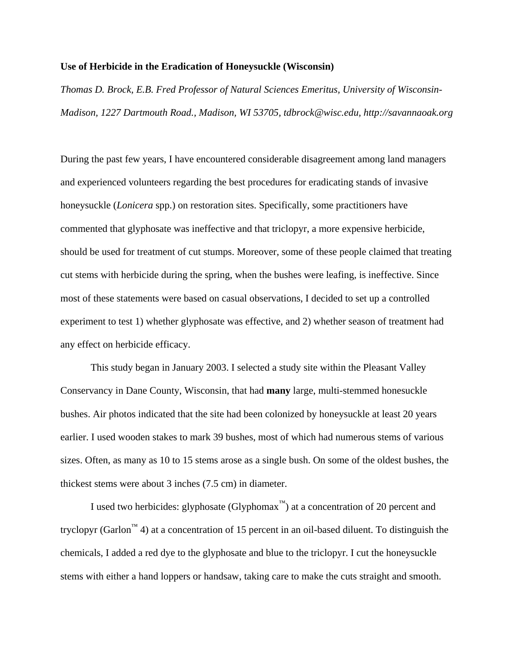## **Use of Herbicide in the Eradication of Honeysuckle (Wisconsin)**

*Thomas D. Brock, E.B. Fred Professor of Natural Sciences Emeritus, University of Wisconsin-Madison, 1227 Dartmouth Road., Madison, WI 53705, tdbrock@wisc.edu, http://savannaoak.org* 

During the past few years, I have encountered considerable disagreement among land managers and experienced volunteers regarding the best procedures for eradicating stands of invasive honeysuckle (*Lonicera* spp.) on restoration sites. Specifically, some practitioners have commented that glyphosate was ineffective and that triclopyr, a more expensive herbicide, should be used for treatment of cut stumps. Moreover, some of these people claimed that treating cut stems with herbicide during the spring, when the bushes were leafing, is ineffective. Since most of these statements were based on casual observations, I decided to set up a controlled experiment to test 1) whether glyphosate was effective, and 2) whether season of treatment had any effect on herbicide efficacy.

This study began in January 2003. I selected a study site within the Pleasant Valley Conservancy in Dane County, Wisconsin, that had **many** large, multi-stemmed honesuckle bushes. Air photos indicated that the site had been colonized by honeysuckle at least 20 years earlier. I used wooden stakes to mark 39 bushes, most of which had numerous stems of various sizes. Often, as many as 10 to 15 stems arose as a single bush. On some of the oldest bushes, the thickest stems were about 3 inches (7.5 cm) in diameter.

I used two herbicides: glyphosate (Glyphomax<sup>™</sup>) at a concentration of 20 percent and tryclopyr (Garlon<sup>™</sup> 4) at a concentration of 15 percent in an oil-based diluent. To distinguish the chemicals, I added a red dye to the glyphosate and blue to the triclopyr. I cut the honeysuckle stems with either a hand loppers or handsaw, taking care to make the cuts straight and smooth.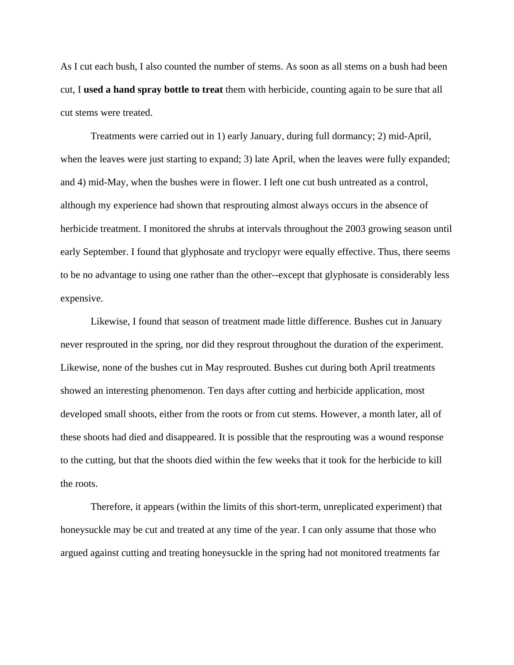As I cut each bush, I also counted the number of stems. As soon as all stems on a bush had been cut, I **used a hand spray bottle to treat** them with herbicide, counting again to be sure that all cut stems were treated.

Treatments were carried out in 1) early January, during full dormancy; 2) mid-April, when the leaves were just starting to expand; 3) late April, when the leaves were fully expanded; and 4) mid-May, when the bushes were in flower. I left one cut bush untreated as a control, although my experience had shown that resprouting almost always occurs in the absence of herbicide treatment. I monitored the shrubs at intervals throughout the 2003 growing season until early September. I found that glyphosate and tryclopyr were equally effective. Thus, there seems to be no advantage to using one rather than the other--except that glyphosate is considerably less expensive.

Likewise, I found that season of treatment made little difference. Bushes cut in January never resprouted in the spring, nor did they resprout throughout the duration of the experiment. Likewise, none of the bushes cut in May resprouted. Bushes cut during both April treatments showed an interesting phenomenon. Ten days after cutting and herbicide application, most developed small shoots, either from the roots or from cut stems. However, a month later, all of these shoots had died and disappeared. It is possible that the resprouting was a wound response to the cutting, but that the shoots died within the few weeks that it took for the herbicide to kill the roots.

Therefore, it appears (within the limits of this short-term, unreplicated experiment) that honeysuckle may be cut and treated at any time of the year. I can only assume that those who argued against cutting and treating honeysuckle in the spring had not monitored treatments far